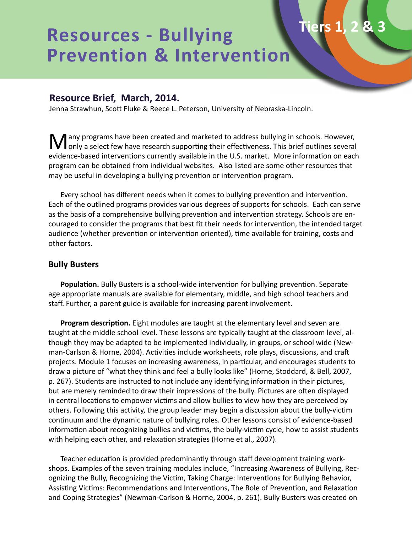# **Resources - Bullying Prevention & Intervention**

# **Resource Brief, March, 2014.**

Jenna Strawhun, Scott Fluke & Reece L. Peterson, University of Nebraska-Lincoln.

Many programs have been created and marketed to address bullying in schools. However,<br>
only a select few have research supporting their effectiveness. This brief outlines several evidence-based interventions currently available in the U.S. market. More information on each program can be obtained from individual websites. Also listed are some other resources that may be useful in developing a bullying prevention or intervention program.

**Tiers 1, 2 & 3**

Every school has different needs when it comes to bullying prevention and intervention. Each of the outlined programs provides various degrees of supports for schools. Each can serve as the basis of a comprehensive bullying prevention and intervention strategy. Schools are encouraged to consider the programs that best fit their needs for intervention, the intended target audience (whether prevention or intervention oriented), time available for training, costs and other factors.

#### **Bully Busters**

**Population.** Bully Busters is a school-wide intervention for bullying prevention. Separate age appropriate manuals are available for elementary, middle, and high school teachers and staff. Further, a parent guide is available for increasing parent involvement.

**Program description.** Eight modules are taught at the elementary level and seven are taught at the middle school level. These lessons are typically taught at the classroom level, although they may be adapted to be implemented individually, in groups, or school wide (Newman-Carlson & Horne, 2004). Activities include worksheets, role plays, discussions, and craft projects. Module 1 focuses on increasing awareness, in particular, and encourages students to draw a picture of "what they think and feel a bully looks like" (Horne, Stoddard, & Bell, 2007, p. 267). Students are instructed to not include any identifying information in their pictures, but are merely reminded to draw their impressions of the bully. Pictures are often displayed in central locations to empower victims and allow bullies to view how they are perceived by others. Following this activity, the group leader may begin a discussion about the bully-victim continuum and the dynamic nature of bullying roles. Other lessons consist of evidence-based information about recognizing bullies and victims, the bully-victim cycle, how to assist students with helping each other, and relaxation strategies (Horne et al., 2007).

Teacher education is provided predominantly through staff development training workshops. Examples of the seven training modules include, "Increasing Awareness of Bullying, Recognizing the Bully, Recognizing the Victim, Taking Charge: Interventions for Bullying Behavior, Assisting Victims: Recommendations and Interventions, The Role of Prevention, and Relaxation and Coping Strategies" (Newman-Carlson & Horne, 2004, p. 261). Bully Busters was created on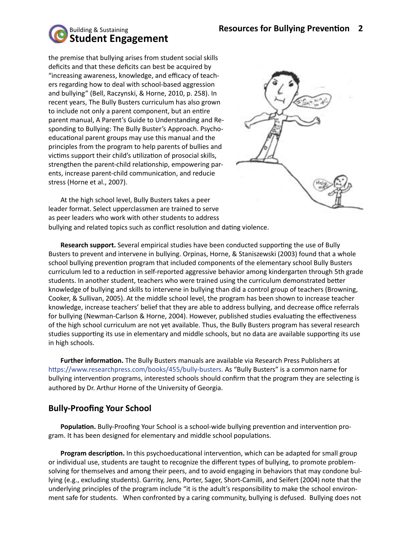

the premise that bullying arises from student social skills deficits and that these deficits can best be acquired by "increasing awareness, knowledge, and efficacy of teachers regarding how to deal with school-based aggression and bullying" (Bell, Raczynski, & Horne, 2010, p. 258). In recent years, The Bully Busters curriculum has also grown to include not only a parent component, but an entire parent manual, A Parent's Guide to Understanding and Responding to Bullying: The Bully Buster's Approach. Psychoeducational parent groups may use this manual and the principles from the program to help parents of bullies and victims support their child's utilization of prosocial skills, strengthen the parent-child relationship, empowering parents, increase parent-child communication, and reducie stress (Horne et al., 2007).



At the high school level, Bully Busters takes a peer leader format. Select upperclassmen are trained to serve as peer leaders who work with other students to address bullying and related topics such as conflict resolution and dating violence.

**Research support.** Several empirical studies have been conducted supporting the use of Bully Busters to prevent and intervene in bullying. Orpinas, Horne, & Staniszewski (2003) found that a whole school bullying prevention program that included components of the elementary school Bully Busters curriculum led to a reduction in self-reported aggressive behavior among kindergarten through 5th grade students. In another student, teachers who were trained using the curriculum demonstrated better knowledge of bullying and skills to intervene in bullying than did a control group of teachers (Browning, Cooker, & Sullivan, 2005). At the middle school level, the program has been shown to increase teacher knowledge, increase teachers' belief that they are able to address bullying, and decrease office referrals for bullying (Newman-Carlson & Horne, 2004). However, published studies evaluating the effectiveness of the high school curriculum are not yet available. Thus, the Bully Busters program has several research studies supporting its use in elementary and middle schools, but no data are available supporting its use in high schools.

**Further information.** The Bully Busters manuals are available via Research Press Publishers at https://www.researchpress.com/books/455/bully-busters. As "Bully Busters" is a common name for bullying intervention programs, interested schools should confirm that the program they are selecting is authored by Dr. Arthur Horne of the University of Georgia.

#### **Bully-Proofing Your School**

**Population.** Bully-Proofing Your School is a school-wide bullying prevention and intervention program. It has been designed for elementary and middle school populations.

**Program description.** In this psychoeducational intervention, which can be adapted for small group or individual use, students are taught to recognize the different types of bullying, to promote problemsolving for themselves and among their peers, and to avoid engaging in behaviors that may condone bullying (e.g., excluding students). Garrity, Jens, Porter, Sager, Short-Camilli, and Seifert (2004) note that the underlying principles of the program include "it is the adult's responsibility to make the school environment safe for students. When confronted by a caring community, bullying is defused. Bullying does not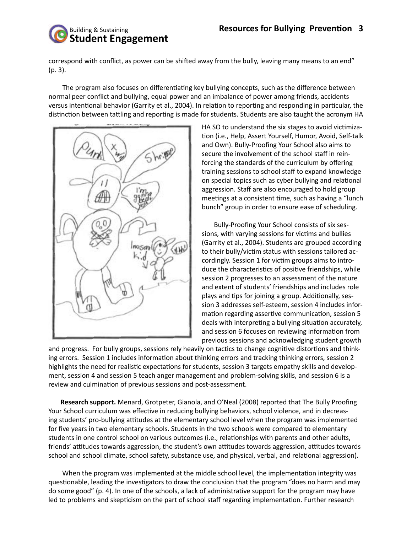# Building & Sustaining **Student Engagement**

correspond with conflict, as power can be shifted away from the bully, leaving many means to an end" (p. 3).

 The program also focuses on differentiating key bullying concepts, such as the difference between normal peer conflict and bullying, equal power and an imbalance of power among friends, accidents versus intentional behavior (Garrity et al., 2004). In relation to reporting and responding in particular, the distinction between tattling and reporting is made for students. Students are also taught the acronym HA



HA SO to understand the six stages to avoid victimization (i.e., Help, Assert Yourself, Humor, Avoid, Self-talk and Own). Bully-Proofing Your School also aims to secure the involvement of the school staff in reinforcing the standards of the curriculum by offering training sessions to school staff to expand knowledge on special topics such as cyber bullying and relational aggression. Staff are also encouraged to hold group meetings at a consistent time, such as having a "lunch bunch" group in order to ensure ease of scheduling.

Bully-Proofing Your School consists of six sessions, with varying sessions for victims and bullies (Garrity et al., 2004). Students are grouped according to their bully/victim status with sessions tailored accordingly. Session 1 for victim groups aims to introduce the characteristics of positive friendships, while session 2 progresses to an assessment of the nature and extent of students' friendships and includes role plays and tips for joining a group. Additionally, session 3 addresses self-esteem, session 4 includes information regarding assertive communication, session 5 deals with interpreting a bullying situation accurately, and session 6 focuses on reviewing information from previous sessions and acknowledging student growth

and progress. For bully groups, sessions rely heavily on tactics to change cognitive distortions and thinking errors. Session 1 includes information about thinking errors and tracking thinking errors, session 2 highlights the need for realistic expectations for students, session 3 targets empathy skills and development, session 4 and session 5 teach anger management and problem-solving skills, and session 6 is a review and culmination of previous sessions and post-assessment.

**Research support.** Menard, Grotpeter, Gianola, and O'Neal (2008) reported that The Bully Proofing Your School curriculum was effective in reducing bullying behaviors, school violence, and in decreasing students' pro-bullying attitudes at the elementary school level when the program was implemented for five years in two elementary schools. Students in the two schools were compared to elementary students in one control school on various outcomes (i.e., relationships with parents and other adults, friends' attitudes towards aggression, the student's own attitudes towards aggression, attitudes towards school and school climate, school safety, substance use, and physical, verbal, and relational aggression).

 When the program was implemented at the middle school level, the implementation integrity was questionable, leading the investigators to draw the conclusion that the program "does no harm and may do some good" (p. 4). In one of the schools, a lack of administrative support for the program may have led to problems and skepticism on the part of school staff regarding implementation. Further research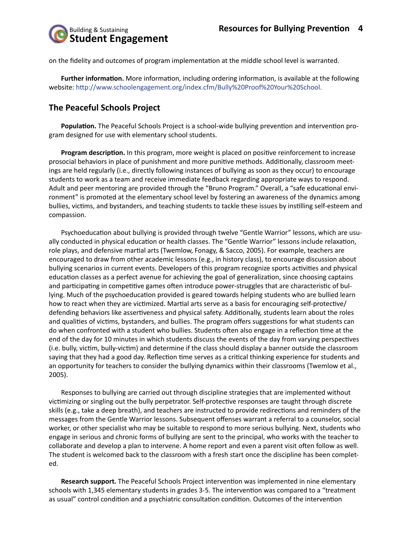on the fidelity and outcomes of program implementation at the middle school level is warranted.

**Further information.** More information, including ordering information, is available at the following website: http://www.schoolengagement.org/index.cfm/Bully%20Proof%20Your%20School.

## **The Peaceful Schools Project**

**Population.** The Peaceful Schools Project is a school-wide bullying prevention and intervention program designed for use with elementary school students.

**Program description.** In this program, more weight is placed on positive reinforcement to increase prosocial behaviors in place of punishment and more punitive methods. Additionally, classroom meetings are held regularly (i.e., directly following instances of bullying as soon as they occur) to encourage students to work as a team and receive immediate feedback regarding appropriate ways to respond. Adult and peer mentoring are provided through the "Bruno Program." Overall, a "safe educational environment" is promoted at the elementary school level by fostering an awareness of the dynamics among bullies, victims, and bystanders, and teaching students to tackle these issues by instilling self-esteem and compassion.

Psychoeducation about bullying is provided through twelve "Gentle Warrior" lessons, which are usually conducted in physical education or health classes. The "Gentle Warrior" lessons include relaxation, role plays, and defensive martial arts (Twemlow, Fonagy, & Sacco, 2005). For example, teachers are encouraged to draw from other academic lessons (e.g., in history class), to encourage discussion about bullying scenarios in current events. Developers of this program recognize sports activities and physical education classes as a perfect avenue for achieving the goal of generalization, since choosing captains and participating in competitive games often introduce power-struggles that are characteristic of bullying. Much of the psychoeducation provided is geared towards helping students who are bullied learn how to react when they are victimized. Martial arts serve as a basis for encouraging self-protective/ defending behaviors like assertiveness and physical safety. Additionally, students learn about the roles and qualities of victims, bystanders, and bullies. The program offers suggestions for what students can do when confronted with a student who bullies. Students often also engage in a reflection time at the end of the day for 10 minutes in which students discuss the events of the day from varying perspectives (i.e. bully, victim, bully-victim) and determine if the class should display a banner outside the classroom saying that they had a good day. Reflection time serves as a critical thinking experience for students and an opportunity for teachers to consider the bullying dynamics within their classrooms (Twemlow et al., 2005).

Responses to bullying are carried out through discipline strategies that are implemented without victimizing or singling out the bully perpetrator. Self-protective responses are taught through discrete skills (e.g., take a deep breath), and teachers are instructed to provide redirections and reminders of the messages from the Gentle Warrior lessons. Subsequent offenses warrant a referral to a counselor, social worker, or other specialist who may be suitable to respond to more serious bullying. Next, students who engage in serious and chronic forms of bullying are sent to the principal, who works with the teacher to collaborate and develop a plan to intervene. A home report and even a parent visit often follow as well. The student is welcomed back to the classroom with a fresh start once the discipline has been completed.

**Research support.** The Peaceful Schools Project intervention was implemented in nine elementary schools with 1,345 elementary students in grades 3-5. The intervention was compared to a "treatment as usual" control condition and a psychiatric consultation condition. Outcomes of the intervention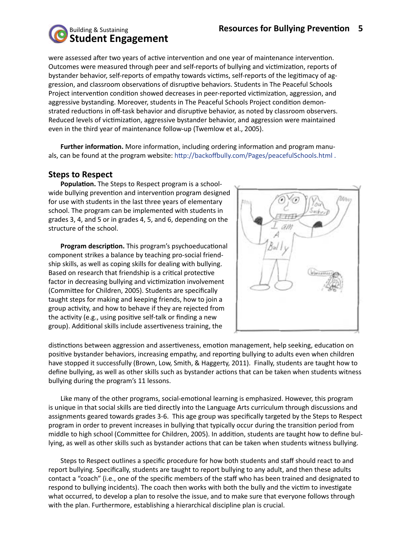

were assessed after two years of active intervention and one year of maintenance intervention. Outcomes were measured through peer and self-reports of bullying and victimization, reports of bystander behavior, self-reports of empathy towards victims, self-reports of the legitimacy of aggression, and classroom observations of disruptive behaviors. Students in The Peaceful Schools Project intervention condition showed decreases in peer-reported victimization, aggression, and aggressive bystanding. Moreover, students in The Peaceful Schools Project condition demonstrated reductions in off-task behavior and disruptive behavior, as noted by classroom observers. Reduced levels of victimization, aggressive bystander behavior, and aggression were maintained even in the third year of maintenance follow-up (Twemlow et al., 2005).

**Further information.** More information, including ordering information and program manuals, can be found at the program website: http://backoffbully.com/Pages/peacefulSchools.html .

#### **Steps to Respect**

**Population.** The Steps to Respect program is a schoolwide bullying prevention and intervention program designed for use with students in the last three years of elementary school. The program can be implemented with students in grades 3, 4, and 5 or in grades 4, 5, and 6, depending on the structure of the school.

**Program description.** This program's psychoeducational component strikes a balance by teaching pro-social friendship skills, as well as coping skills for dealing with bullying. Based on research that friendship is a critical protective factor in decreasing bullying and victimization involvement (Committee for Children, 2005). Students are specifically taught steps for making and keeping friends, how to join a group activity, and how to behave if they are rejected from the activity (e.g., using positive self-talk or finding a new group). Additional skills include assertiveness training, the



distinctions between aggression and assertiveness, emotion management, help seeking, education on positive bystander behaviors, increasing empathy, and reporting bullying to adults even when children have stopped it successfully (Brown, Low, Smith, & Haggerty, 2011). Finally, students are taught how to define bullying, as well as other skills such as bystander actions that can be taken when students witness bullying during the program's 11 lessons.

Like many of the other programs, social-emotional learning is emphasized. However, this program is unique in that social skills are tied directly into the Language Arts curriculum through discussions and assignments geared towards grades 3-6. This age group was specifically targeted by the Steps to Respect program in order to prevent increases in bullying that typically occur during the transition period from middle to high school (Committee for Children, 2005). In addition, students are taught how to define bullying, as well as other skills such as bystander actions that can be taken when students witness bullying.

Steps to Respect outlines a specific procedure for how both students and staff should react to and report bullying. Specifically, students are taught to report bullying to any adult, and then these adults contact a "coach" (i.e., one of the specific members of the staff who has been trained and designated to respond to bullying incidents). The coach then works with both the bully and the victim to investigate what occurred, to develop a plan to resolve the issue, and to make sure that everyone follows through with the plan. Furthermore, establishing a hierarchical discipline plan is crucial.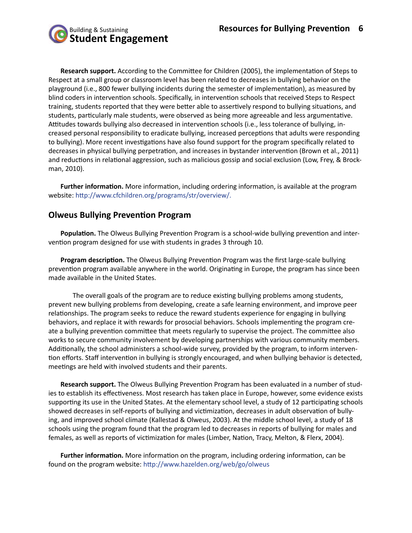

**Research support.** According to the Committee for Children (2005), the implementation of Steps to Respect at a small group or classroom level has been related to decreases in bullying behavior on the playground (i.e., 800 fewer bullying incidents during the semester of implementation), as measured by blind coders in intervention schools. Specifically, in intervention schools that received Steps to Respect training, students reported that they were better able to assertively respond to bullying situations, and students, particularly male students, were observed as being more agreeable and less argumentative. Attitudes towards bullying also decreased in intervention schools (i.e., less tolerance of bullying, increased personal responsibility to eradicate bullying, increased perceptions that adults were responding to bullying). More recent investigations have also found support for the program specifically related to decreases in physical bullying perpetration, and increases in bystander intervention (Brown et al., 2011) and reductions in relational aggression, such as malicious gossip and social exclusion (Low, Frey, & Brockman, 2010).

**Further information.** More information, including ordering information, is available at the program website: http://www.cfchildren.org/programs/str/overview/.

#### **Olweus Bullying Prevention Program**

**Population.** The Olweus Bullying Prevention Program is a school-wide bullying prevention and intervention program designed for use with students in grades 3 through 10.

**Program description.** The Olweus Bullying Prevention Program was the first large-scale bullying prevention program available anywhere in the world. Originating in Europe, the program has since been made available in the United States.

The overall goals of the program are to reduce existing bullying problems among students, prevent new bullying problems from developing, create a safe learning environment, and improve peer relationships. The program seeks to reduce the reward students experience for engaging in bullying behaviors, and replace it with rewards for prosocial behaviors. Schools implementing the program create a bullying prevention committee that meets regularly to supervise the project. The committee also works to secure community involvement by developing partnerships with various community members. Additionally, the school administers a school-wide survey, provided by the program, to inform intervention efforts. Staff intervention in bullying is strongly encouraged, and when bullying behavior is detected, meetings are held with involved students and their parents.

**Research support.** The Olweus Bullying Prevention Program has been evaluated in a number of studies to establish its effectiveness. Most research has taken place in Europe, however, some evidence exists supporting its use in the United States. At the elementary school level, a study of 12 participating schools showed decreases in self-reports of bullying and victimization, decreases in adult observation of bullying, and improved school climate (Kallestad & Olweus, 2003). At the middle school level, a study of 18 schools using the program found that the program led to decreases in reports of bullying for males and females, as well as reports of victimization for males (Limber, Nation, Tracy, Melton, & Flerx, 2004).

**Further information.** More information on the program, including ordering information, can be found on the program website: http://www.hazelden.org/web/go/olweus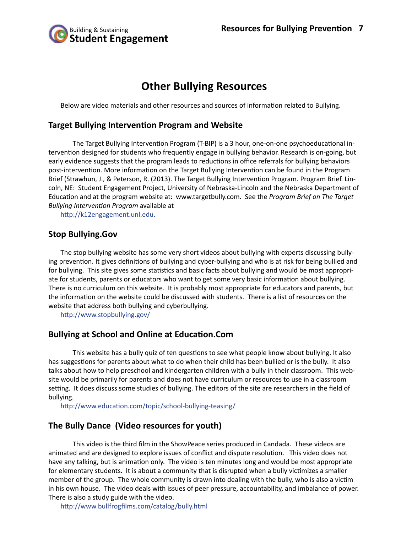

# **Other Bullying Resources**

Below are video materials and other resources and sources of information related to Bullying.

#### **Target Bullying Intervention Program and Website**

The Target Bullying Intervention Program (T-BIP) is a 3 hour, one-on-one psychoeducational intervention designed for students who frequently engage in bullying behavior. Research is on-going, but early evidence suggests that the program leads to reductions in office referrals for bullying behaviors post-intervention. More information on the Target Bullying Intervention can be found in the Program Brief (Strawhun, J., & Peterson, R. (2013). The Target Bullying Intervention Program. Program Brief. Lincoln, NE: Student Engagement Project, University of Nebraska-Lincoln and the Nebraska Department of Education and at the program website at: www.targetbully.com. See the *Program Brief on The Target Bullying Intervention Program* available at

http://k12engagement.unl.edu.

#### **Stop Bullying.Gov**

The stop bullying website has some very short videos about bullying with experts discussing bullying prevention. It gives definitions of bullying and cyber-bullying and who is at risk for being bullied and for bullying. This site gives some statistics and basic facts about bullying and would be most appropriate for students, parents or educators who want to get some very basic information about bullying. There is no curriculum on this website. It is probably most appropriate for educators and parents, but the information on the website could be discussed with students. There is a list of resources on the website that address both bullying and cyberbullying.

http://www.stopbullying.gov/

#### **Bullying at School and Online at Education.Com**

This website has a bully quiz of ten questions to see what people know about bullying. It also has suggestions for parents about what to do when their child has been bullied or is the bully. It also talks about how to help preschool and kindergarten children with a bully in their classroom. This website would be primarily for parents and does not have curriculum or resources to use in a classroom setting. It does discuss some studies of bullying. The editors of the site are researchers in the field of bullying.

http://www.education.com/topic/school-bullying-teasing/

#### **The Bully Dance (Video resources for youth)**

This video is the third film in the ShowPeace series produced in Candada. These videos are animated and are designed to explore issues of conflict and dispute resolution. This video does not have any talking, but is animation only. The video is ten minutes long and would be most appropriate for elementary students. It is about a community that is disrupted when a bully victimizes a smaller member of the group. The whole community is drawn into dealing with the bully, who is also a victim in his own house. The video deals with issues of peer pressure, accountability, and imbalance of power. There is also a study guide with the video.

http://www.bullfrogfilms.com/catalog/bully.html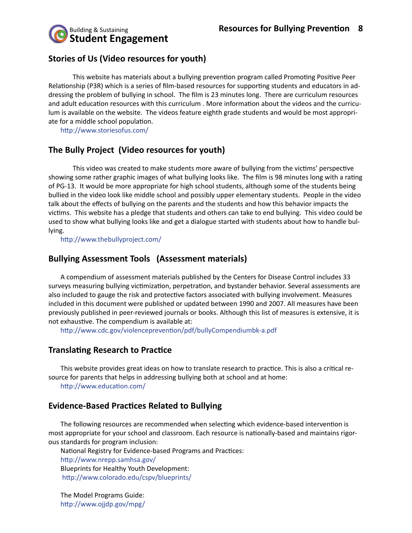

## **Stories of Us (Video resources for youth)**

This website has materials about a bullying prevention program called Promoting Positive Peer Relationship (P3R) which is a series of film-based resources for supporting students and educators in addressing the problem of bullying in school. The film is 23 minutes long. There are curriculum resources and adult education resources with this curriculum . More information about the videos and the curriculum is available on the website. The videos feature eighth grade students and would be most appropriate for a middle school population.

http://www.storiesofus.com/

#### **The Bully Project (Video resources for youth)**

This video was created to make students more aware of bullying from the victims' perspective showing some rather graphic images of what bullying looks like. The film is 98 minutes long with a rating of PG-13. It would be more appropriate for high school students, although some of the students being bullied in the video look like middle school and possibly upper elementary students. People in the video talk about the effects of bullying on the parents and the students and how this behavior impacts the victims. This website has a pledge that students and others can take to end bullying. This video could be used to show what bullying looks like and get a dialogue started with students about how to handle bullying.

http://www.thebullyproject.com/

#### **Bullying Assessment Tools (Assessment materials)**

A compendium of assessment materials published by the Centers for Disease Control includes 33 surveys measuring bullying victimization, perpetration, and bystander behavior. Several assessments are also included to gauge the risk and protective factors associated with bullying involvement. Measures included in this document were published or updated between 1990 and 2007. All measures have been previously published in peer-reviewed journals or books. Although this list of measures is extensive, it is not exhaustive. The compendium is available at:

http://www.cdc.gov/violenceprevention/pdf/bullyCompendiumbk-a.pdf

#### **Translating Research to Practice**

This website provides great ideas on how to translate research to practice. This is also a critical resource for parents that helps in addressing bullying both at school and at home: http://www.education.com/

#### **Evidence-Based Practices Related to Bullying**

The following resources are recommended when selecting which evidence-based intervention is most appropriate for your school and classroom. Each resource is nationally-based and maintains rigorous standards for program inclusion:

National Registry for Evidence-based Programs and Practices:

http://www.nrepp.samhsa.gov/ Blueprints for Healthy Youth Development: http://www.colorado.edu/cspv/blueprints/

The Model Programs Guide: http://www.ojjdp.gov/mpg/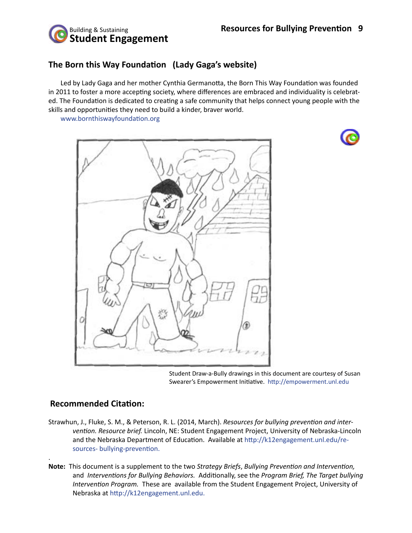

# **The Born this Way Foundation (Lady Gaga's website)**

Led by Lady Gaga and her mother Cynthia Germanotta, the Born This Way Foundation was founded in 2011 to foster a more accepting society, where differences are embraced and individuality is celebrated. The Foundation is dedicated to creating a safe community that helps connect young people with the skills and opportunities they need to build a kinder, braver world.

www.bornthiswayfoundation.org





Student Draw-a-Bully drawings in this document are courtesy of Susan Swearer's Empowerment Initiative. http://empowerment.unl.edu

#### **Recommended Citation:**

.

- Strawhun, J., Fluke, S. M., & Peterson, R. L. (2014, March). *Resources for bullying prevention and intervention. Resource brief.* Lincoln, NE: Student Engagement Project, University of Nebraska-Lincoln and the Nebraska Department of Education. Available at http://k12engagement.unl.edu/resources- bullying-prevention.
- **Note:** This document is a supplement to the two *Strategy Briefs*, *Bullying Prevention and Intervention,*  and *Interventions for Bullying Behaviors.* Additionally, see the *Program Brief, The Target bullying Intervention Program.* These are available from the Student Engagement Project, University of Nebraska at http://k12engagement.unl.edu.